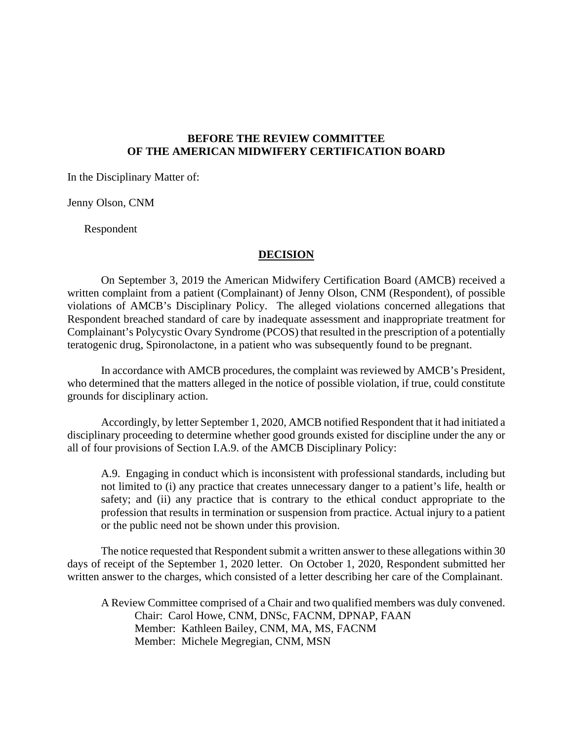## **BEFORE THE REVIEW COMMITTEE OF THE AMERICAN MIDWIFERY CERTIFICATION BOARD**

In the Disciplinary Matter of:

Jenny Olson, CNM

Respondent

#### **DECISION**

On September 3, 2019 the American Midwifery Certification Board (AMCB) received a written complaint from a patient (Complainant) of Jenny Olson, CNM (Respondent), of possible violations of AMCB's Disciplinary Policy. The alleged violations concerned allegations that Respondent breached standard of care by inadequate assessment and inappropriate treatment for Complainant's Polycystic Ovary Syndrome (PCOS) that resulted in the prescription of a potentially teratogenic drug, Spironolactone, in a patient who was subsequently found to be pregnant.

In accordance with AMCB procedures, the complaint was reviewed by AMCB's President, who determined that the matters alleged in the notice of possible violation, if true, could constitute grounds for disciplinary action.

Accordingly, by letter September 1, 2020, AMCB notified Respondent that it had initiated a disciplinary proceeding to determine whether good grounds existed for discipline under the any or all of four provisions of Section I.A.9. of the AMCB Disciplinary Policy:

A.9. Engaging in conduct which is inconsistent with professional standards, including but not limited to (i) any practice that creates unnecessary danger to a patient's life, health or safety; and (ii) any practice that is contrary to the ethical conduct appropriate to the profession that results in termination or suspension from practice. Actual injury to a patient or the public need not be shown under this provision.

The notice requested that Respondent submit a written answer to these allegations within 30 days of receipt of the September 1, 2020 letter. On October 1, 2020, Respondent submitted her written answer to the charges, which consisted of a letter describing her care of the Complainant.

A Review Committee comprised of a Chair and two qualified members was duly convened. Chair: Carol Howe, CNM, DNSc, FACNM, DPNAP, FAAN Member: Kathleen Bailey, CNM, MA, MS, FACNM Member: Michele Megregian, CNM, MSN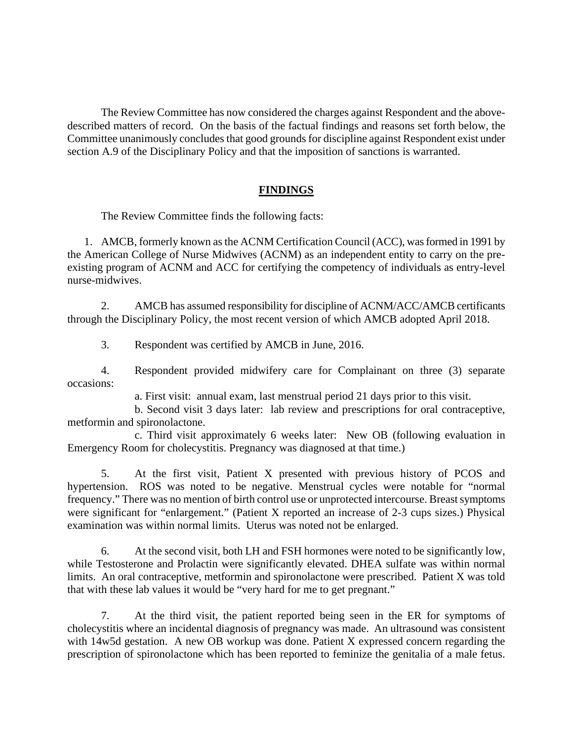The Review Committee has now considered the charges against Respondent and the abovedescribed matters of record. On the basis of the factual findings and reasons set forth below, the Committee unanimously concludes that good grounds for discipline against Respondent exist under section A.9 of the Disciplinary Policy and that the imposition of sanctions is warranted.

## **FINDINGS**

The Review Committee finds the following facts:

1. AMCB, formerly known as the ACNM Certification Council (ACC), was formed in 1991 by the American College of Nurse Midwives (ACNM) as an independent entity to carry on the preexisting program of ACNM and ACC for certifying the competency of individuals as entry-level nurse-midwives.

2. AMCB has assumed responsibility for discipline of ACNM/ACC/AMCB certificants through the Disciplinary Policy, the most recent version of which AMCB adopted April 2018.

3. Respondent was certified by AMCB in June, 2016.

4. Respondent provided midwifery care for Complainant on three (3) separate occasions:

a. First visit: annual exam, last menstrual period 21 days prior to this visit.

b. Second visit 3 days later: lab review and prescriptions for oral contraceptive, metformin and spironolactone.

c. Third visit approximately 6 weeks later: New OB (following evaluation in Emergency Room for cholecystitis. Pregnancy was diagnosed at that time.)

5. At the first visit, Patient X presented with previous history of PCOS and hypertension. ROS was noted to be negative. Menstrual cycles were notable for "normal frequency." There was no mention of birth control use or unprotected intercourse. Breast symptoms were significant for "enlargement." (Patient X reported an increase of 2-3 cups sizes.) Physical examination was within normal limits. Uterus was noted not be enlarged.

6. At the second visit, both LH and FSH hormones were noted to be significantly low, while Testosterone and Prolactin were significantly elevated. DHEA sulfate was within normal limits. An oral contraceptive, metformin and spironolactone were prescribed. Patient X was told that with these lab values it would be "very hard for me to get pregnant."

7. At the third visit, the patient reported being seen in the ER for symptoms of cholecystitis where an incidental diagnosis of pregnancy was made. An ultrasound was consistent with 14w5d gestation. A new OB workup was done. Patient X expressed concern regarding the prescription of spironolactone which has been reported to feminize the genitalia of a male fetus.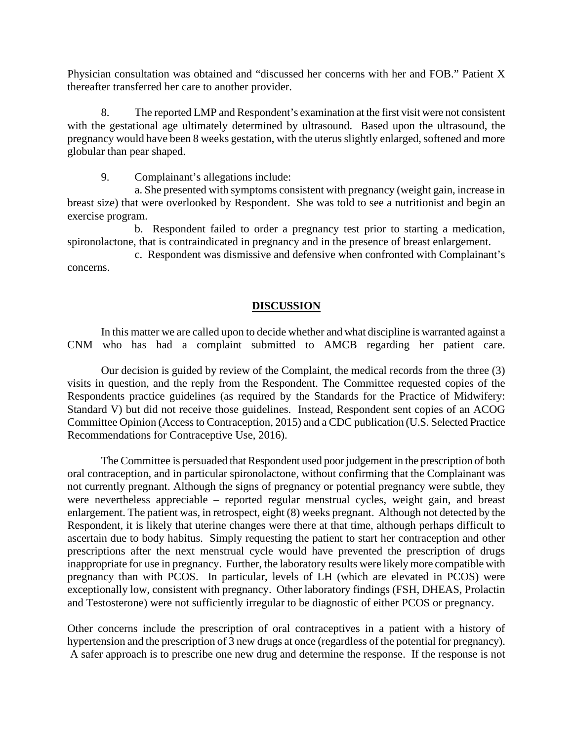Physician consultation was obtained and "discussed her concerns with her and FOB." Patient X thereafter transferred her care to another provider.

8. The reported LMP and Respondent's examination at the first visit were not consistent with the gestational age ultimately determined by ultrasound. Based upon the ultrasound, the pregnancy would have been 8 weeks gestation, with the uterus slightly enlarged, softened and more globular than pear shaped.

9. Complainant's allegations include:

a. She presented with symptoms consistent with pregnancy (weight gain, increase in breast size) that were overlooked by Respondent. She was told to see a nutritionist and begin an exercise program.

b. Respondent failed to order a pregnancy test prior to starting a medication, spironolactone, that is contraindicated in pregnancy and in the presence of breast enlargement.

c. Respondent was dismissive and defensive when confronted with Complainant's concerns.

# **DISCUSSION**

In this matter we are called upon to decide whether and what discipline is warranted against a CNM who has had a complaint submitted to AMCB regarding her patient care.

Our decision is guided by review of the Complaint, the medical records from the three (3) visits in question, and the reply from the Respondent. The Committee requested copies of the Respondents practice guidelines (as required by the Standards for the Practice of Midwifery: Standard V) but did not receive those guidelines. Instead, Respondent sent copies of an ACOG Committee Opinion (Access to Contraception, 2015) and a CDC publication (U.S. Selected Practice Recommendations for Contraceptive Use, 2016).

The Committee is persuaded that Respondent used poor judgement in the prescription of both oral contraception, and in particular spironolactone, without confirming that the Complainant was not currently pregnant. Although the signs of pregnancy or potential pregnancy were subtle, they were nevertheless appreciable – reported regular menstrual cycles, weight gain, and breast enlargement. The patient was, in retrospect, eight (8) weeks pregnant. Although not detected by the Respondent, it is likely that uterine changes were there at that time, although perhaps difficult to ascertain due to body habitus. Simply requesting the patient to start her contraception and other prescriptions after the next menstrual cycle would have prevented the prescription of drugs inappropriate for use in pregnancy. Further, the laboratory results were likely more compatible with pregnancy than with PCOS. In particular, levels of LH (which are elevated in PCOS) were exceptionally low, consistent with pregnancy. Other laboratory findings (FSH, DHEAS, Prolactin and Testosterone) were not sufficiently irregular to be diagnostic of either PCOS or pregnancy.

Other concerns include the prescription of oral contraceptives in a patient with a history of hypertension and the prescription of 3 new drugs at once (regardless of the potential for pregnancy). A safer approach is to prescribe one new drug and determine the response. If the response is not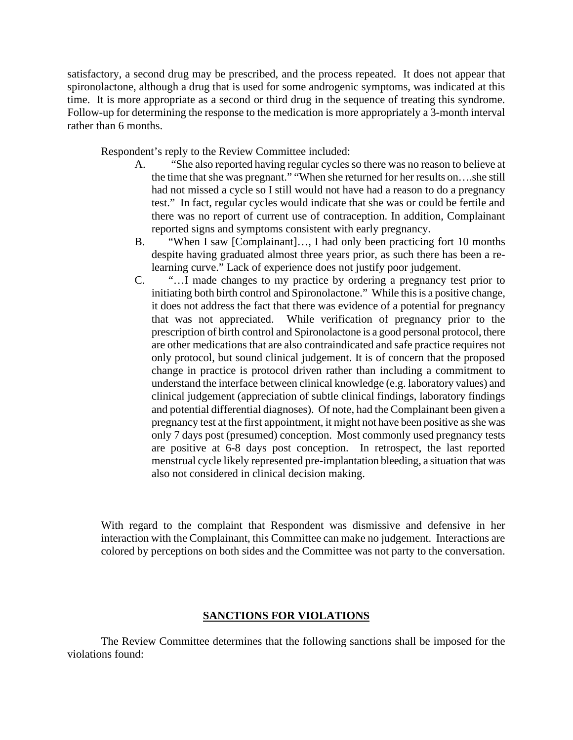satisfactory, a second drug may be prescribed, and the process repeated. It does not appear that spironolactone, although a drug that is used for some androgenic symptoms, was indicated at this time. It is more appropriate as a second or third drug in the sequence of treating this syndrome. Follow-up for determining the response to the medication is more appropriately a 3-month interval rather than 6 months.

Respondent's reply to the Review Committee included:

- A. "She also reported having regular cycles so there was no reason to believe at the time that she was pregnant." "When she returned for her results on….she still had not missed a cycle so I still would not have had a reason to do a pregnancy test." In fact, regular cycles would indicate that she was or could be fertile and there was no report of current use of contraception. In addition, Complainant reported signs and symptoms consistent with early pregnancy.
- B. "When I saw [Complainant]…, I had only been practicing fort 10 months despite having graduated almost three years prior, as such there has been a relearning curve." Lack of experience does not justify poor judgement.
- C. "…I made changes to my practice by ordering a pregnancy test prior to initiating both birth control and Spironolactone." While this is a positive change, it does not address the fact that there was evidence of a potential for pregnancy that was not appreciated. While verification of pregnancy prior to the prescription of birth control and Spironolactone is a good personal protocol, there are other medications that are also contraindicated and safe practice requires not only protocol, but sound clinical judgement. It is of concern that the proposed change in practice is protocol driven rather than including a commitment to understand the interface between clinical knowledge (e.g. laboratory values) and clinical judgement (appreciation of subtle clinical findings, laboratory findings and potential differential diagnoses). Of note, had the Complainant been given a pregnancy test at the first appointment, it might not have been positive as she was only 7 days post (presumed) conception. Most commonly used pregnancy tests are positive at 6-8 days post conception. In retrospect, the last reported menstrual cycle likely represented pre-implantation bleeding, a situation that was also not considered in clinical decision making.

With regard to the complaint that Respondent was dismissive and defensive in her interaction with the Complainant, this Committee can make no judgement. Interactions are colored by perceptions on both sides and the Committee was not party to the conversation.

#### **SANCTIONS FOR VIOLATIONS**

The Review Committee determines that the following sanctions shall be imposed for the violations found: